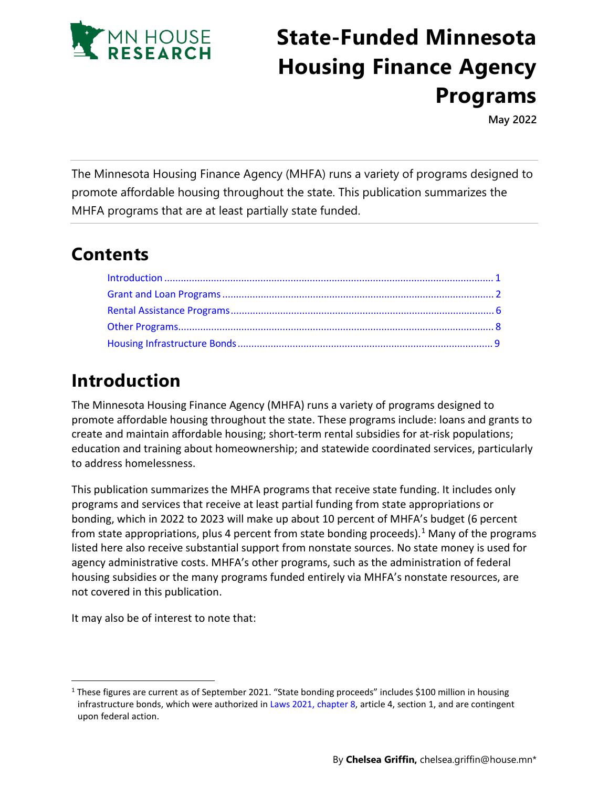

# **State-Funded Minnesota Housing Finance Agency Programs**

**May 2022** 

The Minnesota Housing Finance Agency (MHFA) runs a variety of programs designed to promote affordable housing throughout the state. This publication summarizes the MHFA programs that are at least partially state funded.

## **Contents**

# <span id="page-0-0"></span>**Introduction**

The Minnesota Housing Finance Agency (MHFA) runs a variety of programs designed to promote affordable housing throughout the state. These programs include: loans and grants to create and maintain affordable housing; short-term rental subsidies for at-risk populations; education and training about homeownership; and statewide coordinated services, particularly to address homelessness.

This publication summarizes the MHFA programs that receive state funding. It includes only programs and services that receive at least partial funding from state appropriations or bonding, which in 2022 to 2023 will make up about 10 percent of MHFA's budget (6 percent from state appropriations, plus 4 percent from state bonding proceeds).<sup>[1](#page-0-1)</sup> Many of the programs listed here also receive substantial support from nonstate sources. No state money is used for agency administrative costs. MHFA's other programs, such as the administration of federal housing subsidies or the many programs funded entirely via MHFA's nonstate resources, are not covered in this publication.

It may also be of interest to note that:

<span id="page-0-1"></span> $1$  These figures are current as of September 2021. "State bonding proceeds" includes \$100 million in housing infrastructure bonds, which were authorized in [Laws 2021,](https://www.revisor.mn.gov/laws/2021/0/8/) chapter 8, article 4, section 1, and are contingent upon federal action.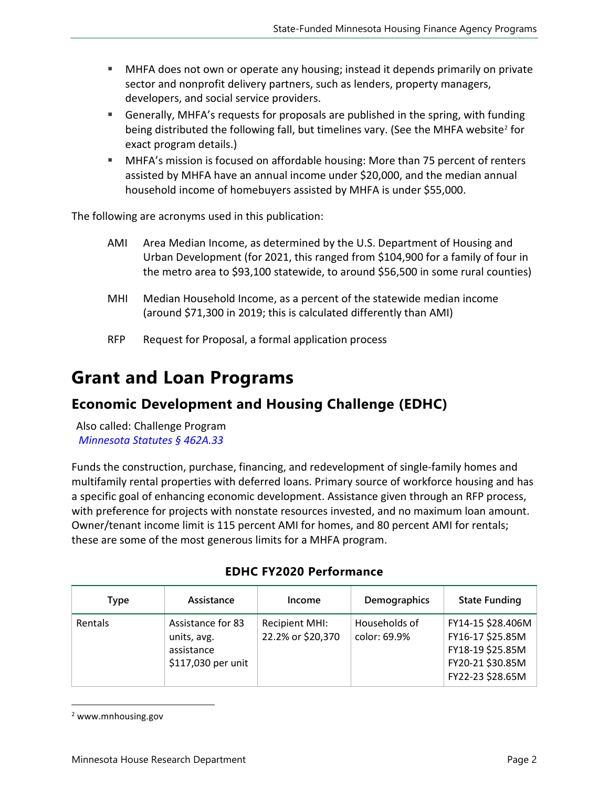- MHFA does not own or operate any housing; instead it depends primarily on private sector and nonprofit delivery partners, such as lenders, property managers, developers, and social service providers.
- Generally, MHFA's requests for proposals are published in the spring, with funding being distributed the following fall, but timelines vary. (See the MHFA website<sup>[2](#page-1-1)</sup> for exact program details.)
- MHFA's mission is focused on affordable housing: More than 75 percent of renters assisted by MHFA have an annual income under \$20,000, and the median annual household income of homebuyers assisted by MHFA is under \$55,000.

The following are acronyms used in this publication:

- AMI Area Median Income, as determined by the U.S. Department of Housing and Urban Development (for 2021, this ranged from \$104,900 for a family of four in the metro area to \$93,100 statewide, to around \$56,500 in some rural counties)
- MHI Median Household Income, as a percent of the statewide median income (around \$71,300 in 2019; this is calculated differently than AMI)
- RFP Request for Proposal, a formal application process

## <span id="page-1-0"></span>**Grant and Loan Programs**

#### **Economic Development and Housing Challenge (EDHC)**

Also called: Challenge Program *[Minnesota Statutes §](https://www.revisor.mn.gov/statutes/cite/462A.33) 462A.33* 

Funds the construction, purchase, financing, and redevelopment of single-family homes and multifamily rental properties with deferred loans. Primary source of workforce housing and has a specific goal of enhancing economic development. Assistance given through an RFP process, with preference for projects with nonstate resources invested, and no maximum loan amount. Owner/tenant income limit is 115 percent AMI for homes, and 80 percent AMI for rentals; these are some of the most generous limits for a MHFA program.

| Type    | Assistance                                                           | Income                                     | Demographics                  | <b>State Funding</b>                                                                              |
|---------|----------------------------------------------------------------------|--------------------------------------------|-------------------------------|---------------------------------------------------------------------------------------------------|
| Rentals | Assistance for 83<br>units, avg.<br>assistance<br>\$117,030 per unit | <b>Recipient MHI:</b><br>22.2% or \$20,370 | Households of<br>color: 69.9% | FY14-15 \$28.406M<br>FY16-17 \$25.85M<br>FY18-19 \$25.85M<br>FY20-21 \$30.85M<br>FY22-23 \$28.65M |

#### **EDHC FY2020 Performance**

<span id="page-1-1"></span><sup>2</sup> www.mnhousing.gov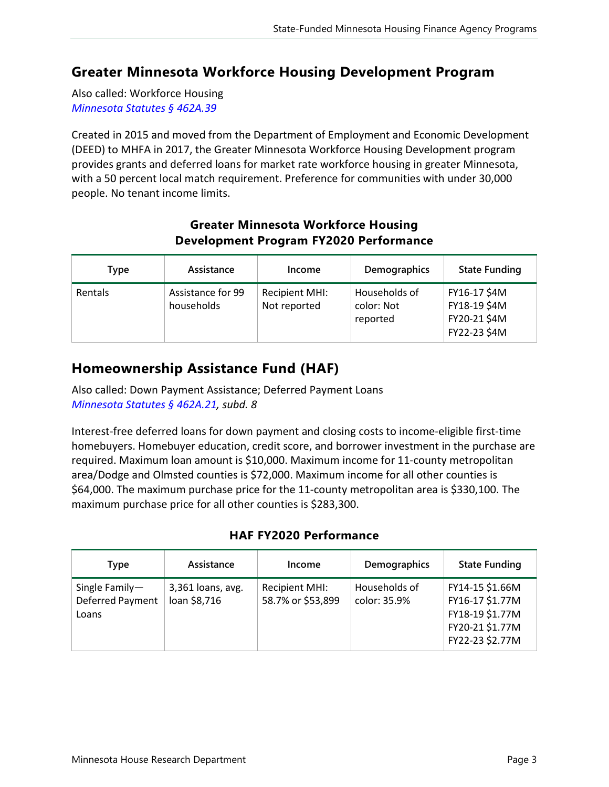## **Greater Minnesota Workforce Housing Development Program**

Also called: Workforce Housing *[Minnesota Statutes §](https://www.revisor.mn.gov/statutes/cite/462A.39) 462A.39*

Created in 2015 and moved from the Department of Employment and Economic Development (DEED) to MHFA in 2017, the Greater Minnesota Workforce Housing Development program provides grants and deferred loans for market rate workforce housing in greater Minnesota, with a 50 percent local match requirement. Preference for communities with under 30,000 people. No tenant income limits.

| <b>Development Program FY2020 Performance</b>                        |                                 |                                       |                                         |                                                              |  |
|----------------------------------------------------------------------|---------------------------------|---------------------------------------|-----------------------------------------|--------------------------------------------------------------|--|
| <b>State Funding</b><br>Demographics<br>Assistance<br>Type<br>Income |                                 |                                       |                                         |                                                              |  |
| Rentals                                                              | Assistance for 99<br>households | <b>Recipient MHI:</b><br>Not reported | Households of<br>color: Not<br>reported | FY16-17 \$4M<br>FY18-19 \$4M<br>FY20-21 \$4M<br>FY22-23 \$4M |  |

# **Greater Minnesota Workforce Housing**

## **Homeownership Assistance Fund (HAF)**

Also called: Down Payment Assistance; Deferred Payment Loans *[Minnesota Statutes](https://www.revisor.mn.gov/statutes/cite/462A.21) § 462A.21, subd. 8*

Interest-free deferred loans for down payment and closing costs to income-eligible first-time homebuyers. Homebuyer education, credit score, and borrower investment in the purchase are required. Maximum loan amount is \$10,000. Maximum income for 11-county metropolitan area/Dodge and Olmsted counties is \$72,000. Maximum income for all other counties is \$64,000. The maximum purchase price for the 11-county metropolitan area is \$330,100. The maximum purchase price for all other counties is \$283,300.

#### **HAF FY2020 Performance**

| Type                                        | Assistance                        | Income                                     | Demographics                  | <b>State Funding</b>                                                                        |
|---------------------------------------------|-----------------------------------|--------------------------------------------|-------------------------------|---------------------------------------------------------------------------------------------|
| Single Family-<br>Deferred Payment<br>Loans | 3,361 loans, avg.<br>loan \$8,716 | <b>Recipient MHI:</b><br>58.7% or \$53,899 | Households of<br>color: 35.9% | FY14-15 \$1.66M<br>FY16-17 \$1.77M<br>FY18-19 \$1.77M<br>FY20-21 \$1.77M<br>FY22-23 \$2.77M |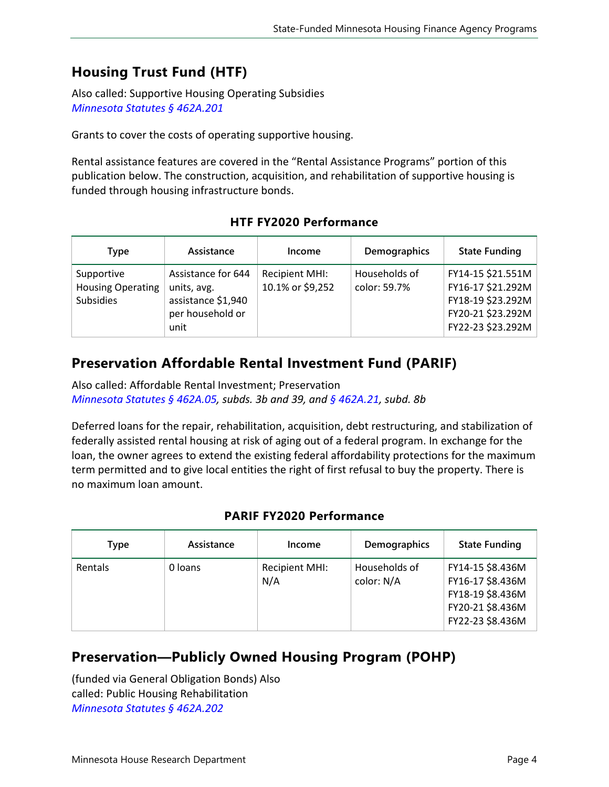## **Housing Trust Fund (HTF)**

Also called: Supportive Housing Operating Subsidies *[Minnesota Statutes §](https://www.revisor.mn.gov/statutes/cite/462A.201) 462A.201*

Grants to cover the costs of operating supportive housing.

Rental assistance features are covered in the "Rental Assistance Programs" portion of this publication below. The construction, acquisition, and rehabilitation of supportive housing is funded through housing infrastructure bonds.

| Type                                                       | Assistance                                                                          | Income                                    | Demographics                  | <b>State Funding</b>                                                                                  |
|------------------------------------------------------------|-------------------------------------------------------------------------------------|-------------------------------------------|-------------------------------|-------------------------------------------------------------------------------------------------------|
| Supportive<br><b>Housing Operating</b><br><b>Subsidies</b> | Assistance for 644<br>units, avg.<br>assistance \$1,940<br>per household or<br>unit | <b>Recipient MHI:</b><br>10.1% or \$9,252 | Households of<br>color: 59.7% | FY14-15 \$21.551M<br>FY16-17 \$21.292M<br>FY18-19 \$23.292M<br>FY20-21 \$23.292M<br>FY22-23 \$23.292M |

#### **HTF FY2020 Performance**

## **Preservation Affordable Rental Investment Fund (PARIF)**

Also called: Affordable Rental Investment; Preservation *[Minnesota Statutes §](https://www.revisor.mn.gov/statutes/cite/462A.05) 462A.05, subds. 3b and 39, and § [462A.21,](https://www.revisor.mn.gov/statutes/cite/462A.21) subd. 8b*

Deferred loans for the repair, rehabilitation, acquisition, debt restructuring, and stabilization of federally assisted rental housing at risk of aging out of a federal program. In exchange for the loan, the owner agrees to extend the existing federal affordability protections for the maximum term permitted and to give local entities the right of first refusal to buy the property. There is no maximum loan amount.

#### **PARIF FY2020 Performance**

| Type    | Assistance | Income                | Demographics                | <b>State Funding</b>                                                                             |
|---------|------------|-----------------------|-----------------------------|--------------------------------------------------------------------------------------------------|
| Rentals | 0 loans    | Recipient MHI:<br>N/A | Households of<br>color: N/A | FY14-15 \$8.436M<br>FY16-17 \$8.436M<br>FY18-19 \$8.436M<br>FY20-21 \$8.436M<br>FY22-23 \$8.436M |

#### **Preservation—Publicly Owned Housing Program (POHP)**

(funded via General Obligation Bonds) Also called: Public Housing Rehabilitation *[Minnesota Statutes §](https://www.revisor.mn.gov/statutes/cite/462A.202) 462A.202*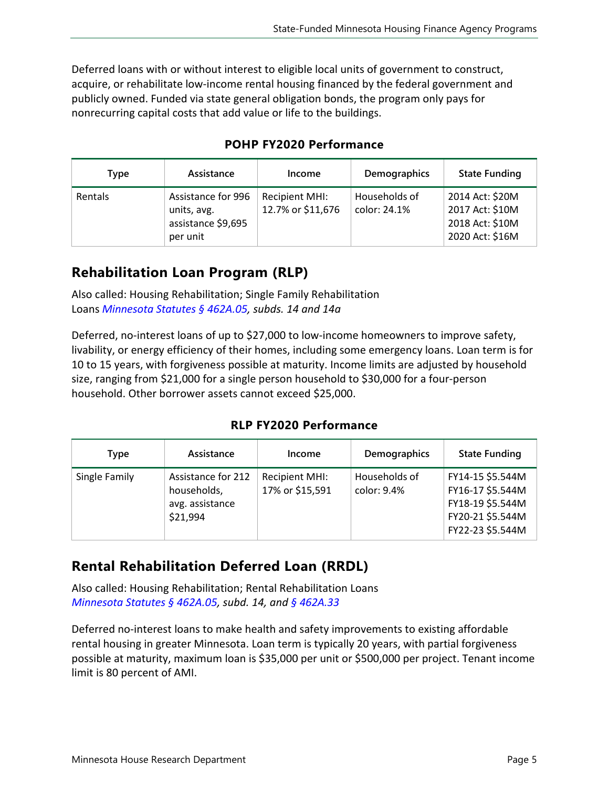Deferred loans with or without interest to eligible local units of government to construct, acquire, or rehabilitate low-income rental housing financed by the federal government and publicly owned. Funded via state general obligation bonds, the program only pays for nonrecurring capital costs that add value or life to the buildings.

| Type    | Assistance                                                          | Income                              | Demographics                  | <b>State Funding</b>                                                     |
|---------|---------------------------------------------------------------------|-------------------------------------|-------------------------------|--------------------------------------------------------------------------|
| Rentals | Assistance for 996<br>units, avg.<br>assistance \$9,695<br>per unit | Recipient MHI:<br>12.7% or \$11,676 | Households of<br>color: 24.1% | 2014 Act: \$20M<br>2017 Act: \$10M<br>2018 Act: \$10M<br>2020 Act: \$16M |

#### **POHP FY2020 Performance**

## **Rehabilitation Loan Program (RLP)**

Also called: Housing Rehabilitation; Single Family Rehabilitation Loans *[Minnesota Statutes §](https://www.revisor.mn.gov/statutes/cite/462A.05) 462A.05, subds. 14 and 14a*

Deferred, no-interest loans of up to \$27,000 to low-income homeowners to improve safety, livability, or energy efficiency of their homes, including some emergency loans. Loan term is for 10 to 15 years, with forgiveness possible at maturity. Income limits are adjusted by household size, ranging from \$21,000 for a single person household to \$30,000 for a four-person household. Other borrower assets cannot exceed \$25,000.

**RLP FY2020 Performance**

| Type          | Assistance                                                       | Income                                   | Demographics                 | <b>State Funding</b>                                                                             |
|---------------|------------------------------------------------------------------|------------------------------------------|------------------------------|--------------------------------------------------------------------------------------------------|
| Single Family | Assistance for 212<br>households,<br>avg. assistance<br>\$21,994 | <b>Recipient MHI:</b><br>17% or \$15,591 | Households of<br>color: 9.4% | FY14-15 \$5.544M<br>FY16-17 \$5.544M<br>FY18-19 \$5.544M<br>FY20-21 \$5.544M<br>FY22-23 \$5.544M |

## **Rental Rehabilitation Deferred Loan (RRDL)**

Also called: Housing Rehabilitation; Rental Rehabilitation Loans *[Minnesota Statutes §](https://www.revisor.mn.gov/statutes/cite/462A.05) 462A.05, subd. 14, and § [462A.33](https://www.revisor.mn.gov/statutes/cite/462A.33)*

Deferred no-interest loans to make health and safety improvements to existing affordable rental housing in greater Minnesota. Loan term is typically 20 years, with partial forgiveness possible at maturity, maximum loan is \$35,000 per unit or \$500,000 per project. Tenant income limit is 80 percent of AMI.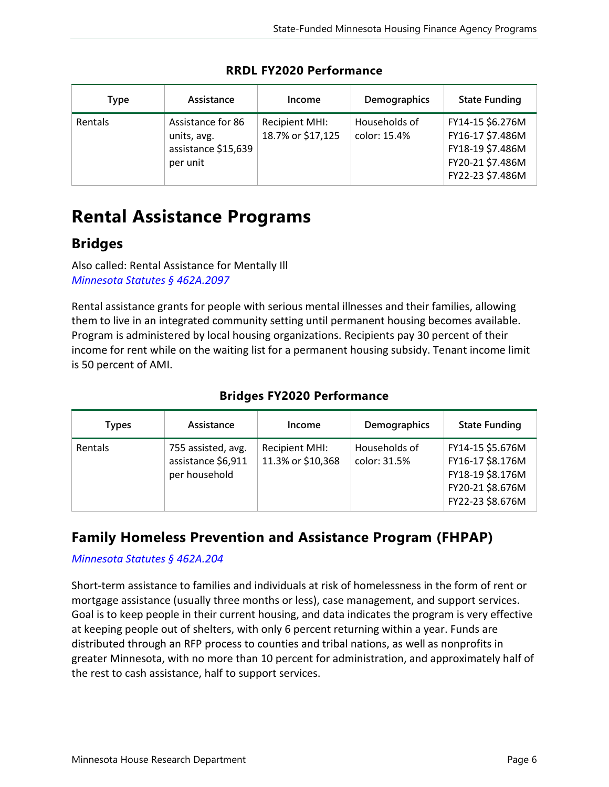| Type    | Assistance                                                          | Income                                     | <b>Demographics</b>           | <b>State Funding</b>                                                                             |
|---------|---------------------------------------------------------------------|--------------------------------------------|-------------------------------|--------------------------------------------------------------------------------------------------|
| Rentals | Assistance for 86<br>units, avg.<br>assistance \$15,639<br>per unit | <b>Recipient MHI:</b><br>18.7% or \$17,125 | Households of<br>color: 15.4% | FY14-15 \$6.276M<br>FY16-17 \$7.486M<br>FY18-19 \$7.486M<br>FY20-21 \$7.486M<br>FY22-23 \$7.486M |

**RRDL FY2020 Performance**

# <span id="page-5-0"></span>**Rental Assistance Programs**

## **Bridges**

Also called: Rental Assistance for Mentally Ill *[Minnesota Statutes §](https://www.revisor.mn.gov/statutes/cite/462A.2097) 462A.2097*

Rental assistance grants for people with serious mental illnesses and their families, allowing them to live in an integrated community setting until permanent housing becomes available. Program is administered by local housing organizations. Recipients pay 30 percent of their income for rent while on the waiting list for a permanent housing subsidy. Tenant income limit is 50 percent of AMI.

| Types   | Assistance                                                | Income                                     | <b>Demographics</b>           | <b>State Funding</b>                                                                             |
|---------|-----------------------------------------------------------|--------------------------------------------|-------------------------------|--------------------------------------------------------------------------------------------------|
| Rentals | 755 assisted, avg.<br>assistance \$6,911<br>per household | <b>Recipient MHI:</b><br>11.3% or \$10,368 | Households of<br>color: 31.5% | FY14-15 \$5.676M<br>FY16-17 \$8.176M<br>FY18-19 \$8.176M<br>FY20-21 \$8.676M<br>FY22-23 \$8.676M |

#### **Bridges FY2020 Performance**

## **Family Homeless Prevention and Assistance Program (FHPAP)**

#### *[Minnesota Statutes §](https://www.revisor.mn.gov/statutes/cite/462A.204) 462A.204*

Short-term assistance to families and individuals at risk of homelessness in the form of rent or mortgage assistance (usually three months or less), case management, and support services. Goal is to keep people in their current housing, and data indicates the program is very effective at keeping people out of shelters, with only 6 percent returning within a year. Funds are distributed through an RFP process to counties and tribal nations, as well as nonprofits in greater Minnesota, with no more than 10 percent for administration, and approximately half of the rest to cash assistance, half to support services.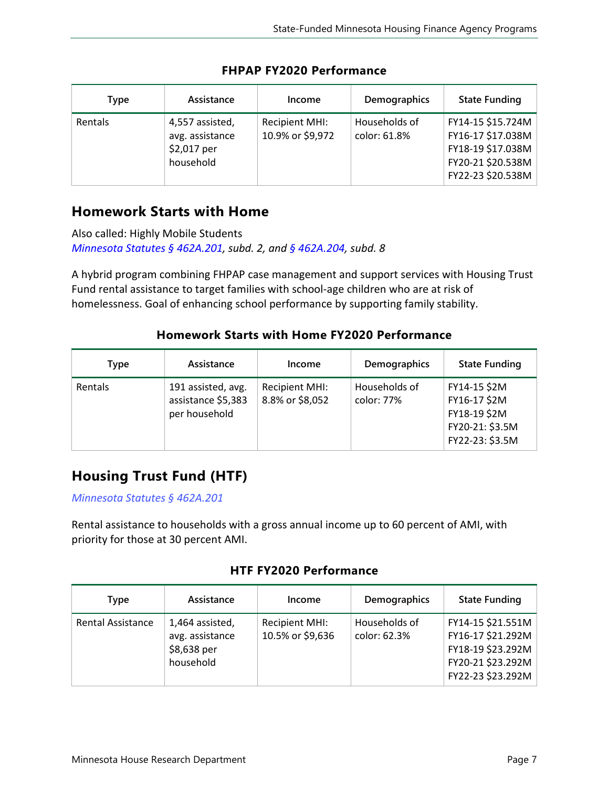| Type    | Assistance                                                     | Income                             | <b>Demographics</b>           | <b>State Funding</b>                                                                                  |
|---------|----------------------------------------------------------------|------------------------------------|-------------------------------|-------------------------------------------------------------------------------------------------------|
| Rentals | 4,557 assisted,<br>avg. assistance<br>\$2,017 per<br>household | Recipient MHI:<br>10.9% or \$9,972 | Households of<br>color: 61.8% | FY14-15 \$15.724M<br>FY16-17 \$17.038M<br>FY18-19 \$17.038M<br>FY20-21 \$20.538M<br>FY22-23 \$20.538M |

#### **FHPAP FY2020 Performance**

## **Homework Starts with Home**

Also called: Highly Mobile Students *[Minnesota Statutes §](https://www.revisor.mn.gov/statutes/cite/462A.201) 462A.201, subd. 2, and § [462A.204,](https://www.revisor.mn.gov/statutes/cite/462A.204) subd. 8*

A hybrid program combining FHPAP case management and support services with Housing Trust Fund rental assistance to target families with school-age children who are at risk of homelessness. Goal of enhancing school performance by supporting family stability.

#### **Homework Starts with Home FY2020 Performance**

| Type    | Assistance                                                | Income                            | <b>Demographics</b>         | <b>State Funding</b>                                                               |
|---------|-----------------------------------------------------------|-----------------------------------|-----------------------------|------------------------------------------------------------------------------------|
| Rentals | 191 assisted, avg.<br>assistance \$5,383<br>per household | Recipient MHI:<br>8.8% or \$8,052 | Households of<br>color: 77% | FY14-15 \$2M<br>FY16-17 \$2M<br>FY18-19 \$2M<br>FY20-21: \$3.5M<br>FY22-23: \$3.5M |

## **Housing Trust Fund (HTF)**

*[Minnesota Statutes §](https://www.revisor.mn.gov/statutes/cite/462A.201) 462A.201*

Rental assistance to households with a gross annual income up to 60 percent of AMI, with priority for those at 30 percent AMI.

#### **HTF FY2020 Performance**

| Type                     | Assistance                                                     | Income                             | Demographics                  | <b>State Funding</b>                                                                                  |
|--------------------------|----------------------------------------------------------------|------------------------------------|-------------------------------|-------------------------------------------------------------------------------------------------------|
| <b>Rental Assistance</b> | 1,464 assisted,<br>avg. assistance<br>\$8,638 per<br>household | Recipient MHI:<br>10.5% or \$9,636 | Households of<br>color: 62.3% | FY14-15 \$21.551M<br>FY16-17 \$21.292M<br>FY18-19 \$23.292M<br>FY20-21 \$23.292M<br>FY22-23 \$23.292M |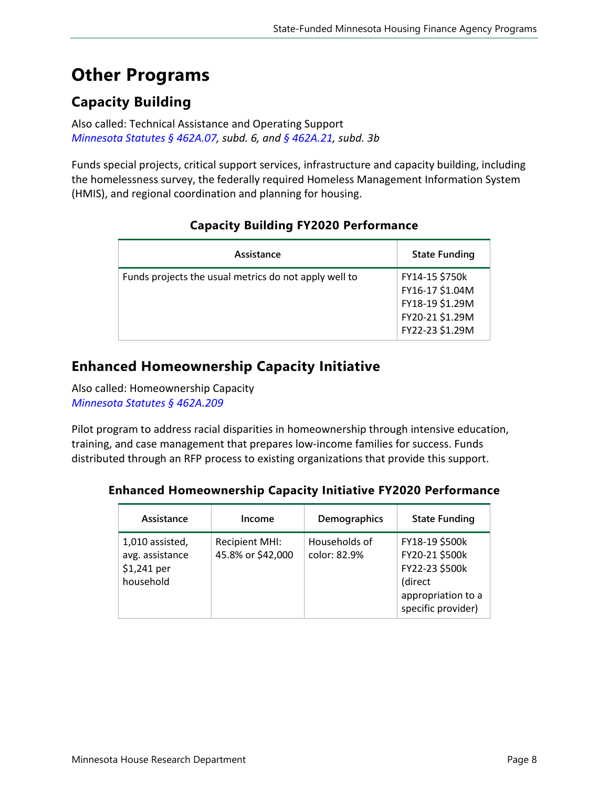# <span id="page-7-0"></span>**Other Programs**

## **Capacity Building**

Also called: Technical Assistance and Operating Support *[Minnesota Statutes §](https://www.revisor.mn.gov/statutes/cite/462A.207) 462A.07, subd. 6, and § [462A.21](https://www.revisor.mn.gov/statutes/cite/462A.21), subd. 3b*

Funds special projects, critical support services, infrastructure and capacity building, including the homelessness survey, the federally required Homeless Management Information System (HMIS), and regional coordination and planning for housing.

| Assistance                                            | <b>State Funding</b>                                                                       |
|-------------------------------------------------------|--------------------------------------------------------------------------------------------|
| Funds projects the usual metrics do not apply well to | FY14-15 \$750k<br>FY16-17 \$1.04M<br>FY18-19 \$1.29M<br>FY20-21 \$1.29M<br>FY22-23 \$1.29M |

#### **Capacity Building FY2020 Performance**

## **Enhanced Homeownership Capacity Initiative**

Also called: Homeownership Capacity *[Minnesota Statutes §](https://www.revisor.mn.gov/statutes/cite/462A.209) 462A.209* 

Pilot program to address racial disparities in homeownership through intensive education, training, and case management that prepares low-income families for success. Funds distributed through an RFP process to existing organizations that provide this support.

#### **Enhanced Homeownership Capacity Initiative FY2020 Performance**

| Assistance                                                     | Income                                     | Demographics                  | <b>State Funding</b>                                                                                      |
|----------------------------------------------------------------|--------------------------------------------|-------------------------------|-----------------------------------------------------------------------------------------------------------|
| 1,010 assisted,<br>avg. assistance<br>\$1,241 per<br>household | <b>Recipient MHI:</b><br>45.8% or \$42,000 | Households of<br>color: 82.9% | FY18-19 \$500k<br>FY20-21 \$500k<br>FY22-23 \$500k<br>(direct<br>appropriation to a<br>specific provider) |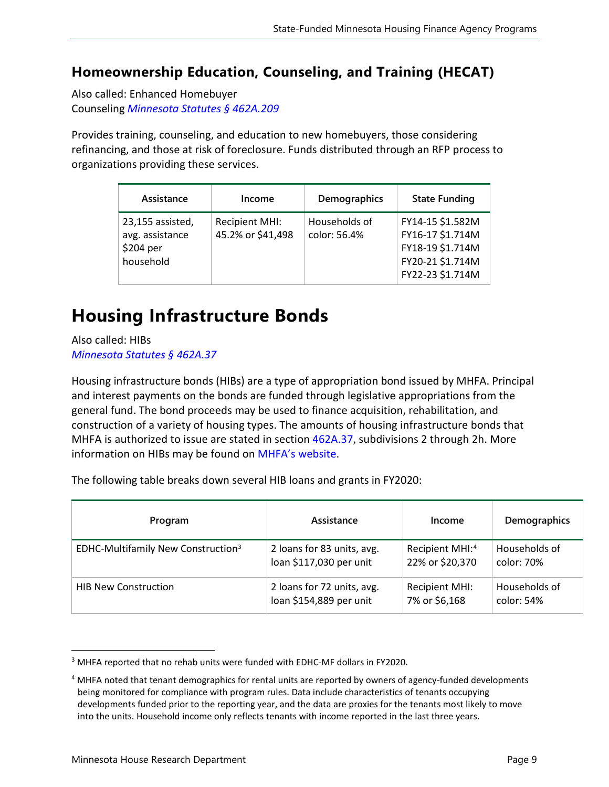## **Homeownership Education, Counseling, and Training (HECAT)**

Also called: Enhanced Homebuyer Counseling *[Minnesota Statutes §](https://www.revisor.mn.gov/statutes/cite/462A.209) 462A.209*

Provides training, counseling, and education to new homebuyers, those considering refinancing, and those at risk of foreclosure. Funds distributed through an RFP process to organizations providing these services.

| Assistance                                                    | Income                                     | Demographics                  | <b>State Funding</b>                                                                             |
|---------------------------------------------------------------|--------------------------------------------|-------------------------------|--------------------------------------------------------------------------------------------------|
| 23,155 assisted,<br>avg. assistance<br>\$204 per<br>household | <b>Recipient MHI:</b><br>45.2% or \$41,498 | Households of<br>color: 56.4% | FY14-15 \$1.582M<br>FY16-17 \$1.714M<br>FY18-19 \$1.714M<br>FY20-21 \$1.714M<br>FY22-23 \$1.714M |

# <span id="page-8-0"></span>**Housing Infrastructure Bonds**

Also called: HIBs *[Minnesota Statutes](https://www.revisor.mn.gov/statutes/cite/462A.37) § 462A.37*

Housing infrastructure bonds (HIBs) are a type of appropriation bond issued by MHFA. Principal and interest payments on the bonds are funded through legislative appropriations from the general fund. The bond proceeds may be used to finance acquisition, rehabilitation, and construction of a variety of housing types. The amounts of housing infrastructure bonds that MHFA is authorized to issue are stated in section [462A.37,](https://www.revisor.mn.gov/statutes/cite/462A.37) subdivisions 2 through 2h. More information on HIBs may be found o[n MHFA's website.](https://www.mnhousing.gov/sites/multifamily/hib)

The following table breaks down several HIB loans and grants in FY2020:

| Program                                        | Assistance                 | Income                      | Demographics  |
|------------------------------------------------|----------------------------|-----------------------------|---------------|
| EDHC-Multifamily New Construction <sup>3</sup> | 2 loans for 83 units, avg. | Recipient MHI: <sup>4</sup> | Households of |
|                                                | loan \$117,030 per unit    | 22% or \$20,370             | color: 70%    |
| <b>HIB New Construction</b>                    | 2 loans for 72 units, avg. | <b>Recipient MHI:</b>       | Households of |
|                                                | loan \$154,889 per unit    | 7% or \$6,168               | color: 54%    |

<span id="page-8-1"></span><sup>&</sup>lt;sup>3</sup> MHFA reported that no rehab units were funded with EDHC-MF dollars in FY2020.

<span id="page-8-2"></span><sup>&</sup>lt;sup>4</sup> MHFA noted that tenant demographics for rental units are reported by owners of agency-funded developments being monitored for compliance with program rules. Data include characteristics of tenants occupying developments funded prior to the reporting year, and the data are proxies for the tenants most likely to move into the units. Household income only reflects tenants with income reported in the last three years.